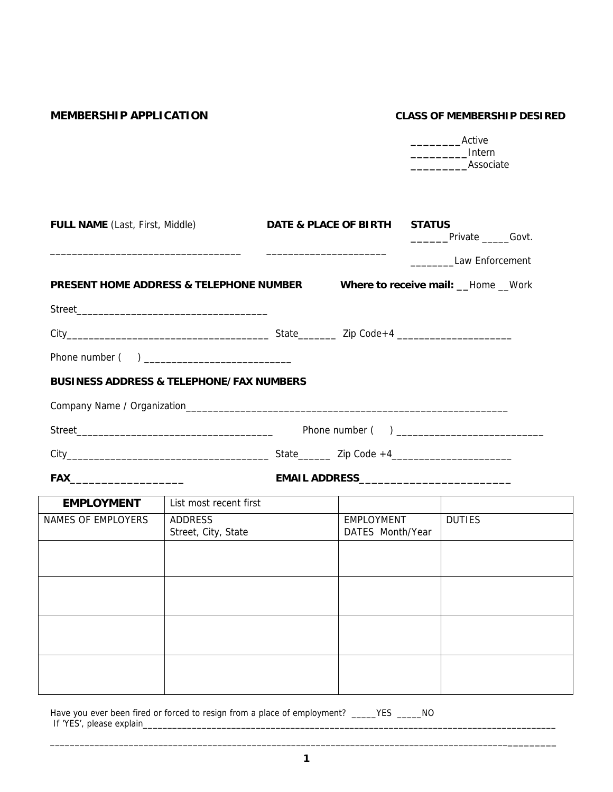# **MEMBERSHIP APPLICATION CLASS OF MEMBERSHIP DESIRED**

|                                                     |                                       |                                             | __________Intern<br>Associate                   |  |  |
|-----------------------------------------------------|---------------------------------------|---------------------------------------------|-------------------------------------------------|--|--|
| <b>FULL NAME</b> (Last, First, Middle)              |                                       | DATE & PLACE OF BIRTH                       | <b>STATUS</b><br>__________Private _______Govt. |  |  |
|                                                     |                                       |                                             | Law Enforcement                                 |  |  |
| PRESENT HOME ADDRESS & TELEPHONE NUMBER             |                                       | Where to receive mail: __Home __Work        |                                                 |  |  |
|                                                     |                                       |                                             |                                                 |  |  |
|                                                     |                                       |                                             |                                                 |  |  |
|                                                     |                                       |                                             |                                                 |  |  |
| <b>BUSINESS ADDRESS &amp; TELEPHONE/FAX NUMBERS</b> |                                       |                                             |                                                 |  |  |
|                                                     |                                       |                                             |                                                 |  |  |
|                                                     |                                       |                                             |                                                 |  |  |
|                                                     |                                       |                                             |                                                 |  |  |
|                                                     |                                       | EMAIL ADDRESS______________________________ |                                                 |  |  |
| <b>EMPLOYMENT</b>                                   | List most recent first                |                                             |                                                 |  |  |
| <b>NAMES OF EMPLOYERS</b>                           | <b>ADDRESS</b><br>Street, City, State | <b>EMPLOYMENT</b><br>DATES Month/Year       | <b>DUTIES</b>                                   |  |  |
|                                                     |                                       |                                             |                                                 |  |  |
|                                                     |                                       |                                             |                                                 |  |  |
|                                                     |                                       |                                             |                                                 |  |  |
|                                                     |                                       |                                             |                                                 |  |  |
|                                                     |                                       |                                             |                                                 |  |  |
|                                                     |                                       |                                             |                                                 |  |  |

Have you ever been fired or forced to resign from a place of employment? \_\_\_\_\_YES \_\_\_\_\_NO If 'YES', please explain\_\_\_\_\_\_\_\_\_\_\_\_\_\_\_\_\_\_\_\_\_\_\_\_\_\_\_\_\_\_\_\_\_\_\_\_\_\_\_\_\_\_\_\_\_\_\_\_\_\_\_\_\_\_\_\_\_\_\_\_\_\_\_\_\_\_\_\_\_\_\_\_\_\_\_\_\_\_\_\_\_\_\_\_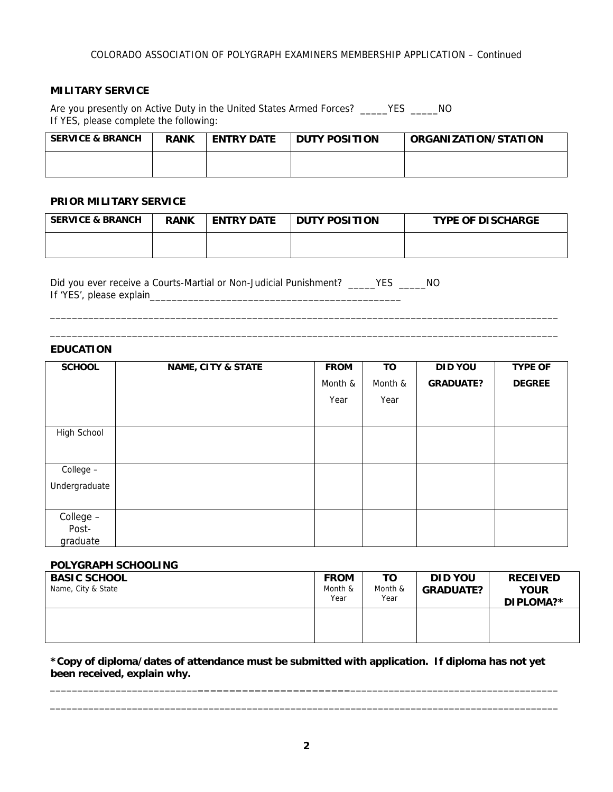# **MILITARY SERVICE**

Are you presently on Active Duty in the United States Armed Forces? \_\_\_\_\_YES \_\_\_\_\_NO If YES, please complete the following:

| <b>SERVICE &amp; BRANCH</b> | <b>RANK</b> | <b>ENTRY DATE</b> | <b>DUTY POSITION</b> | ORGANIZATION/STATION |
|-----------------------------|-------------|-------------------|----------------------|----------------------|
|                             |             |                   |                      |                      |

## **PRIOR MILITARY SERVICE**

| <b>SERVICE &amp; BRANCH</b> | <b>RANK</b> | <b>ENTRY DATE</b> | <b>DUTY POSITION</b> | <b>TYPE OF DISCHARGE</b> |
|-----------------------------|-------------|-------------------|----------------------|--------------------------|
|                             |             |                   |                      |                          |

\_\_\_\_\_\_\_\_\_\_\_\_\_\_\_\_\_\_\_\_\_\_\_\_\_\_\_\_\_\_\_\_\_\_\_\_\_\_\_\_\_\_\_\_\_\_\_\_\_\_\_\_\_\_\_\_\_\_\_\_\_\_\_\_\_\_\_\_\_\_\_\_\_\_\_\_\_\_\_\_\_\_\_\_\_\_\_\_\_\_\_\_\_ \_\_\_\_\_\_\_\_\_\_\_\_\_\_\_\_\_\_\_\_\_\_\_\_\_\_\_\_\_\_\_\_\_\_\_\_\_\_\_\_\_\_\_\_\_\_\_\_\_\_\_\_\_\_\_\_\_\_\_\_\_\_\_\_\_\_\_\_\_\_\_\_\_\_\_\_\_\_\_\_\_\_\_\_\_\_\_\_\_\_\_\_\_

Did you ever receive a Courts-Martial or Non-Judicial Punishment? \_\_\_\_\_YES \_\_\_\_\_NO If 'YES', please explain\_\_\_\_\_\_\_\_\_\_\_\_\_\_\_\_\_\_\_\_\_\_\_\_\_\_\_\_\_\_\_\_\_\_\_\_\_\_\_\_\_\_\_\_\_\_

# **EDUCATION**

| <b>SCHOOL</b> | <b>NAME, CITY &amp; STATE</b> | <b>FROM</b> | TO      | <b>DID YOU</b>   | <b>TYPE OF</b> |
|---------------|-------------------------------|-------------|---------|------------------|----------------|
|               |                               | Month &     | Month & | <b>GRADUATE?</b> | <b>DEGREE</b>  |
|               |                               | Year        | Year    |                  |                |
|               |                               |             |         |                  |                |
| High School   |                               |             |         |                  |                |
|               |                               |             |         |                  |                |
| College -     |                               |             |         |                  |                |
| Undergraduate |                               |             |         |                  |                |
|               |                               |             |         |                  |                |
| College -     |                               |             |         |                  |                |
| Post-         |                               |             |         |                  |                |
| graduate      |                               |             |         |                  |                |

### **POLYGRAPH SCHOOLING**

| <b>BASIC SCHOOL</b><br>Name, City & State | <b>FROM</b><br>Month &<br>Year | TO<br>Month &<br>Year | <b>DID YOU</b><br><b>GRADUATE?</b> | <b>RECEIVED</b><br><b>YOUR</b><br>DIPLOMA?* |
|-------------------------------------------|--------------------------------|-----------------------|------------------------------------|---------------------------------------------|
|                                           |                                |                       |                                    |                                             |

**\*Copy of diploma/dates of attendance must be submitted with application. If diploma has not yet been received, explain why.** 

\_\_\_\_\_\_\_\_\_\_\_\_\_\_\_\_\_\_\_\_\_\_\_\_\_\_\_**\_\_\_\_\_\_\_\_\_\_\_\_\_\_\_\_\_\_\_\_\_\_\_\_**\_\_\_\_\_\_\_\_\_\_\_\_\_\_\_\_\_\_\_\_\_\_\_\_\_\_\_\_\_\_\_\_\_\_\_\_\_\_ \_\_\_\_\_\_\_\_\_\_\_\_\_\_\_\_\_\_\_\_\_\_\_\_\_\_\_\_\_\_\_\_\_\_\_\_\_\_\_\_\_\_\_\_\_\_\_\_\_\_\_\_\_\_\_\_\_\_\_\_\_\_\_\_\_\_\_\_\_\_\_\_\_\_\_\_\_\_\_\_\_\_\_\_\_\_\_\_\_\_\_\_\_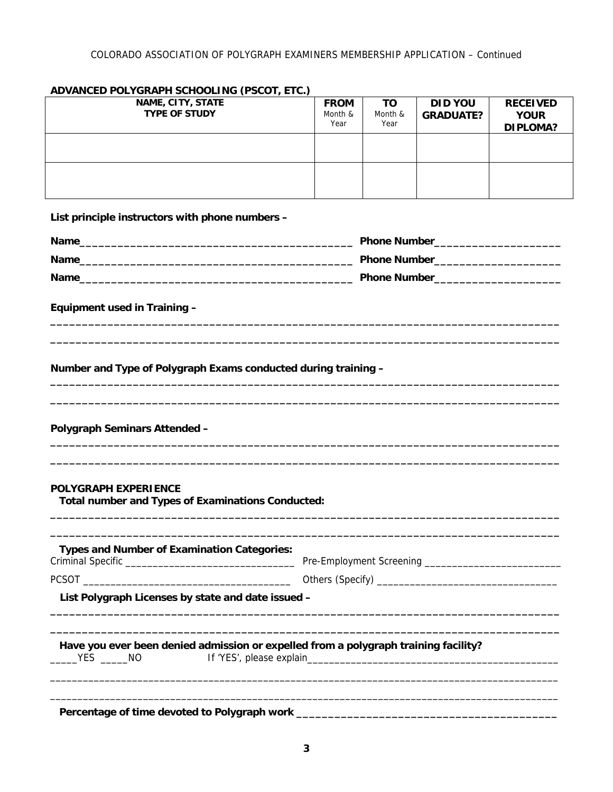| NAME, CITY, STATE<br><b>TYPE OF STUDY</b>                                               | <b>FROM</b><br>Month &<br>Year | <b>TO</b><br>Month &<br>Year | <b>DID YOU</b><br><b>GRADUATE?</b> | <b>RECEIVED</b><br><b>YOUR</b><br><b>DIPLOMA?</b> |
|-----------------------------------------------------------------------------------------|--------------------------------|------------------------------|------------------------------------|---------------------------------------------------|
|                                                                                         |                                |                              |                                    |                                                   |
|                                                                                         |                                |                              |                                    |                                                   |
| List principle instructors with phone numbers -                                         |                                |                              |                                    |                                                   |
|                                                                                         |                                |                              |                                    |                                                   |
|                                                                                         |                                |                              |                                    |                                                   |
|                                                                                         |                                |                              |                                    |                                                   |
| Equipment used in Training -                                                            |                                |                              |                                    |                                                   |
| Number and Type of Polygraph Exams conducted during training -                          |                                |                              |                                    |                                                   |
|                                                                                         |                                |                              |                                    |                                                   |
| <b>Polygraph Seminars Attended -</b>                                                    |                                |                              |                                    |                                                   |
| <b>POLYGRAPH EXPERIENCE</b><br><b>Total number and Types of Examinations Conducted:</b> |                                |                              |                                    |                                                   |
| <b>Types and Number of Examination Categories:</b>                                      |                                |                              |                                    |                                                   |
|                                                                                         |                                |                              |                                    |                                                   |
| List Polygraph Licenses by state and date issued -                                      |                                |                              |                                    |                                                   |
| Have you ever been denied admission or expelled from a polygraph training facility?     |                                |                              |                                    |                                                   |
|                                                                                         |                                |                              |                                    |                                                   |

# **ADVANCED POLYGRAPH SCHOOLING (PSCOT, ETC.)**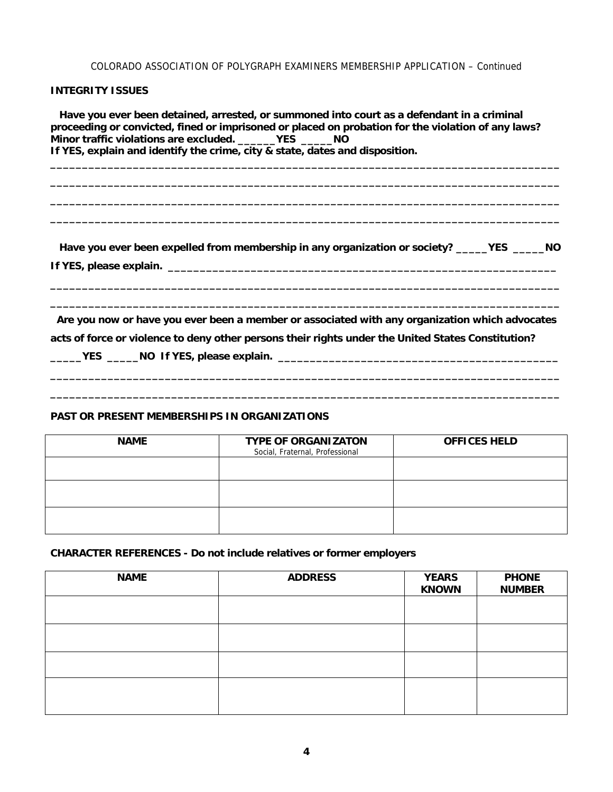## COLORADO ASSOCIATION OF POLYGRAPH EXAMINERS MEMBERSHIP APPLICATION – Continued

# **INTEGRITY ISSUES**

 **Have you ever been detained, arrested, or summoned into court as a defendant in a criminal proceeding or convicted, fined or imprisoned or placed on probation for the violation of any laws? Minor traffic violations are excluded. \_\_\_\_\_\_YES \_\_\_\_\_NO If YES, explain and identify the crime, city & state, dates and disposition. \_\_\_\_\_\_\_\_\_\_\_\_\_\_\_\_\_\_\_\_\_\_\_\_\_\_\_\_\_\_\_\_\_\_\_\_\_\_\_\_\_\_\_\_\_\_\_\_\_\_\_\_\_\_\_\_\_\_\_\_\_\_\_\_\_\_\_\_\_\_\_\_\_\_\_\_\_\_\_\_**

**\_\_\_\_\_\_\_\_\_\_\_\_\_\_\_\_\_\_\_\_\_\_\_\_\_\_\_\_\_\_\_\_\_\_\_\_\_\_\_\_\_\_\_\_\_\_\_\_\_\_\_\_\_\_\_\_\_\_\_\_\_\_\_\_\_\_\_\_\_\_\_\_\_\_\_\_\_\_\_\_ \_\_\_\_\_\_\_\_\_\_\_\_\_\_\_\_\_\_\_\_\_\_\_\_\_\_\_\_\_\_\_\_\_\_\_\_\_\_\_\_\_\_\_\_\_\_\_\_\_\_\_\_\_\_\_\_\_\_\_\_\_\_\_\_\_\_\_\_\_\_\_\_\_\_\_\_\_\_\_\_ \_\_\_\_\_\_\_\_\_\_\_\_\_\_\_\_\_\_\_\_\_\_\_\_\_\_\_\_\_\_\_\_\_\_\_\_\_\_\_\_\_\_\_\_\_\_\_\_\_\_\_\_\_\_\_\_\_\_\_\_\_\_\_\_\_\_\_\_\_\_\_\_\_\_\_\_\_\_\_\_** 

 **Have you ever been expelled from membership in any organization or society? \_\_\_\_\_YES \_\_\_\_\_NO If YES, please explain. \_\_\_\_\_\_\_\_\_\_\_\_\_\_\_\_\_\_\_\_\_\_\_\_\_\_\_\_\_\_\_\_\_\_\_\_\_\_\_\_\_\_\_\_\_\_\_\_\_\_\_\_\_\_\_\_\_\_\_\_\_** 

**\_\_\_\_\_\_\_\_\_\_\_\_\_\_\_\_\_\_\_\_\_\_\_\_\_\_\_\_\_\_\_\_\_\_\_\_\_\_\_\_\_\_\_\_\_\_\_\_\_\_\_\_\_\_\_\_\_\_\_\_\_\_\_\_\_\_\_\_\_\_\_\_\_\_\_\_\_\_\_\_ \_\_\_\_\_\_\_\_\_\_\_\_\_\_\_\_\_\_\_\_\_\_\_\_\_\_\_\_\_\_\_\_\_\_\_\_\_\_\_\_\_\_\_\_\_\_\_\_\_\_\_\_\_\_\_\_\_\_\_\_\_\_\_\_\_\_\_\_\_\_\_\_\_\_\_\_\_\_\_\_** 

 **Are you now or have you ever been a member or associated with any organization which advocates acts of force or violence to deny other persons their rights under the United States Constitution?** 

**\_\_\_\_\_\_\_\_\_\_\_\_\_\_\_\_\_\_\_\_\_\_\_\_\_\_\_\_\_\_\_\_\_\_\_\_\_\_\_\_\_\_\_\_\_\_\_\_\_\_\_\_\_\_\_\_\_\_\_\_\_\_\_\_\_\_\_\_\_\_\_\_\_\_\_\_\_\_\_\_ \_\_\_\_\_\_\_\_\_\_\_\_\_\_\_\_\_\_\_\_\_\_\_\_\_\_\_\_\_\_\_\_\_\_\_\_\_\_\_\_\_\_\_\_\_\_\_\_\_\_\_\_\_\_\_\_\_\_\_\_\_\_\_\_\_\_\_\_\_\_\_\_\_\_\_\_\_\_\_\_** 

**\_\_\_\_\_YES \_\_\_\_\_NO If YES, please explain. \_\_\_\_\_\_\_\_\_\_\_\_\_\_\_\_\_\_\_\_\_\_\_\_\_\_\_\_\_\_\_\_\_\_\_\_\_\_\_\_\_\_\_\_** 

# **PAST OR PRESENT MEMBERSHIPS IN ORGANIZATIONS**

| <b>NAME</b> | <b>TYPE OF ORGANIZATON</b><br>Social, Fraternal, Professional | <b>OFFICES HELD</b> |
|-------------|---------------------------------------------------------------|---------------------|
|             |                                                               |                     |
|             |                                                               |                     |
|             |                                                               |                     |

## **CHARACTER REFERENCES - Do not include relatives or former employers**

| <b>NAME</b> | <b>ADDRESS</b> | <b>YEARS</b><br><b>KNOWN</b> | <b>PHONE</b><br><b>NUMBER</b> |
|-------------|----------------|------------------------------|-------------------------------|
|             |                |                              |                               |
|             |                |                              |                               |
|             |                |                              |                               |
|             |                |                              |                               |